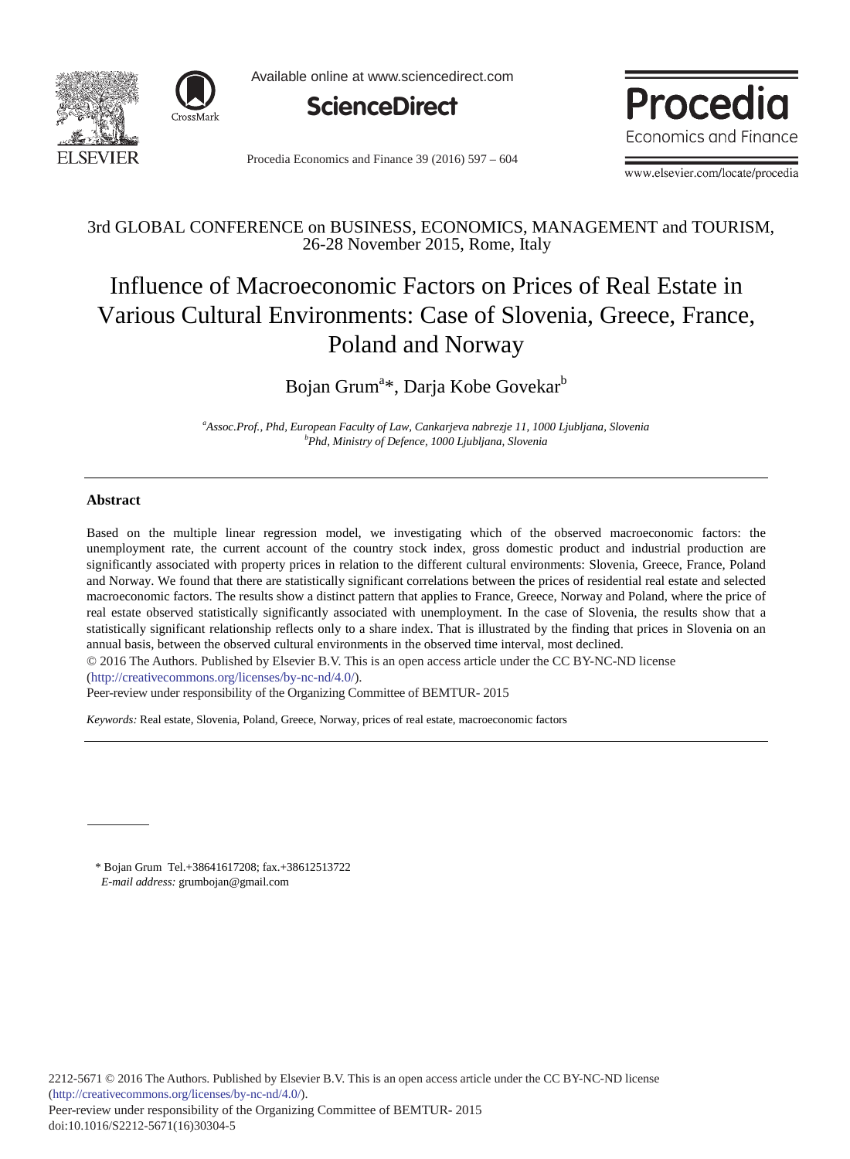



Available online at www.sciencedirect.com



Procedia Economics and Finance 39 (2016)  $597 - 604$ 



www.elsevier.com/locate/procedia

# 3rd GLOBAL CONFERENCE on BUSINESS, ECONOMICS, MANAGEMENT and TOURISM, 26-28 November 2015, Rome, Italy

# Influence of Macroeconomic Factors on Prices of Real Estate in Various Cultural Environments: Case of Slovenia, Greece, France, Poland and Norway

Bojan Grum<sup>a\*</sup>, Darja Kobe Govekar<sup>b</sup>

*a Assoc.Prof., Phd, European Faculty of Law, Cankarjeva nabrezje 11, 1000 Ljubljana, Slovenia b Phd, Ministry of Defence, 1000 Ljubljana, Slovenia*

# **Abstract**

Based on the multiple linear regression model, we investigating which of the observed macroeconomic factors: the unemployment rate, the current account of the country stock index, gross domestic product and industrial production are significantly associated with property prices in relation to the different cultural environments: Slovenia, Greece, France, Poland and Norway. We found that there are statistically significant correlations between the prices of residential real estate and selected macroeconomic factors. The results show a distinct pattern that applies to France, Greece, Norway and Poland, where the price of real estate observed statistically significantly associated with unemployment. In the case of Slovenia, the results show that a statistically significant relationship reflects only to a share index. That is illustrated by the finding that prices in Slovenia on an annual basis, between the observed cultural environments in the observed time interval, most declined.

© 2016 The Authors. Published by Elsevier B.V. © 2016 The Authors. Published by Elsevier B.V. This is an open access article under the CC BY-NC-ND license

(http://creativecommons.org/licenses/by-nc-nd/4.0/).

Peer-review under responsibility of the Organizing Committee of BEMTUR- 2015

*Keywords:* Real estate, Slovenia, Poland, Greece, Norway, prices of real estate, macroeconomic factors

\* Bojan Grum Tel.+38641617208; fax.+38612513722  *E-mail address:* grumbojan@gmail.com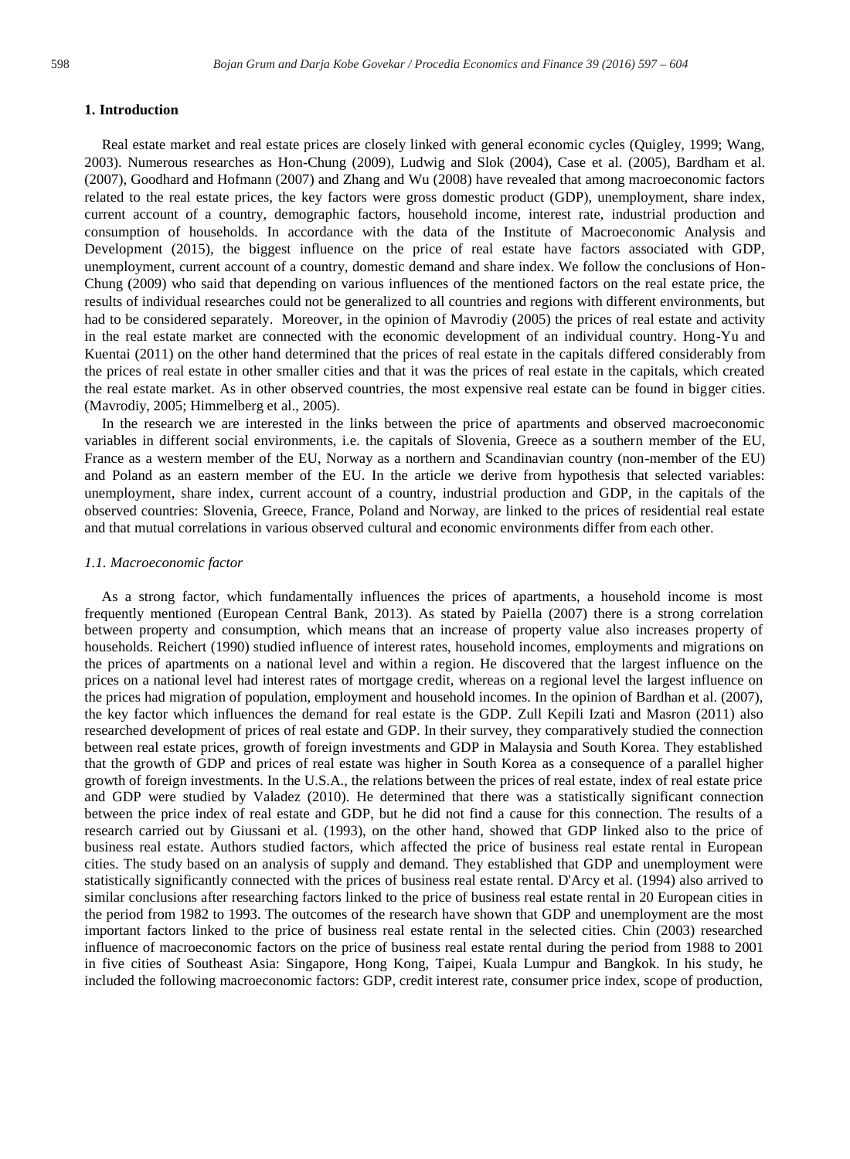# **1. Introduction**

Real estate market and real estate prices are closely linked with general economic cycles (Quigley, 1999; Wang, 2003). Numerous researches as Hon-Chung (2009), Ludwig and Slok (2004), Case et al. (2005), Bardham et al. (2007), Goodhard and Hofmann (2007) and Zhang and Wu (2008) have revealed that among macroeconomic factors related to the real estate prices, the key factors were gross domestic product (GDP), unemployment, share index, current account of a country, demographic factors, household income, interest rate, industrial production and consumption of households. In accordance with the data of the Institute of Macroeconomic Analysis and Development (2015), the biggest influence on the price of real estate have factors associated with GDP, unemployment, current account of a country, domestic demand and share index. We follow the conclusions of Hon-Chung (2009) who said that depending on various influences of the mentioned factors on the real estate price, the results of individual researches could not be generalized to all countries and regions with different environments, but had to be considered separately. Moreover, in the opinion of Mavrodiy (2005) the prices of real estate and activity in the real estate market are connected with the economic development of an individual country. Hong-Yu and Kuentai (2011) on the other hand determined that the prices of real estate in the capitals differed considerably from the prices of real estate in other smaller cities and that it was the prices of real estate in the capitals, which created the real estate market. As in other observed countries, the most expensive real estate can be found in bigger cities. (Mavrodiy, 2005; Himmelberg et al., 2005).

In the research we are interested in the links between the price of apartments and observed macroeconomic variables in different social environments, i.e. the capitals of Slovenia, Greece as a southern member of the EU, France as a western member of the EU, Norway as a northern and Scandinavian country (non-member of the EU) and Poland as an eastern member of the EU. In the article we derive from hypothesis that selected variables: unemployment, share index, current account of a country, industrial production and GDP, in the capitals of the observed countries: Slovenia, Greece, France, Poland and Norway, are linked to the prices of residential real estate and that mutual correlations in various observed cultural and economic environments differ from each other.

#### *1.1. Macroeconomic factor*

As a strong factor, which fundamentally influences the prices of apartments, a household income is most frequently mentioned (European Central Bank, 2013). As stated by Paiella (2007) there is a strong correlation between property and consumption, which means that an increase of property value also increases property of households. Reichert (1990) studied influence of interest rates, household incomes, employments and migrations on the prices of apartments on a national level and within a region. He discovered that the largest influence on the prices on a national level had interest rates of mortgage credit, whereas on a regional level the largest influence on the prices had migration of population, employment and household incomes. In the opinion of Bardhan et al. (2007), the key factor which influences the demand for real estate is the GDP. Zull Kepili Izati and Masron (2011) also researched development of prices of real estate and GDP. In their survey, they comparatively studied the connection between real estate prices, growth of foreign investments and GDP in Malaysia and South Korea. They established that the growth of GDP and prices of real estate was higher in South Korea as a consequence of a parallel higher growth of foreign investments. In the U.S.A., the relations between the prices of real estate, index of real estate price and GDP were studied by Valadez (2010). He determined that there was a statistically significant connection between the price index of real estate and GDP, but he did not find a cause for this connection. The results of a research carried out by Giussani et al. (1993), on the other hand, showed that GDP linked also to the price of business real estate. Authors studied factors, which affected the price of business real estate rental in European cities. The study based on an analysis of supply and demand. They established that GDP and unemployment were statistically significantly connected with the prices of business real estate rental. D'Arcy et al. (1994) also arrived to similar conclusions after researching factors linked to the price of business real estate rental in 20 European cities in the period from 1982 to 1993. The outcomes of the research have shown that GDP and unemployment are the most important factors linked to the price of business real estate rental in the selected cities. Chin (2003) researched influence of macroeconomic factors on the price of business real estate rental during the period from 1988 to 2001 in five cities of Southeast Asia: Singapore, Hong Kong, Taipei, Kuala Lumpur and Bangkok. In his study, he included the following macroeconomic factors: GDP, credit interest rate, consumer price index, scope of production,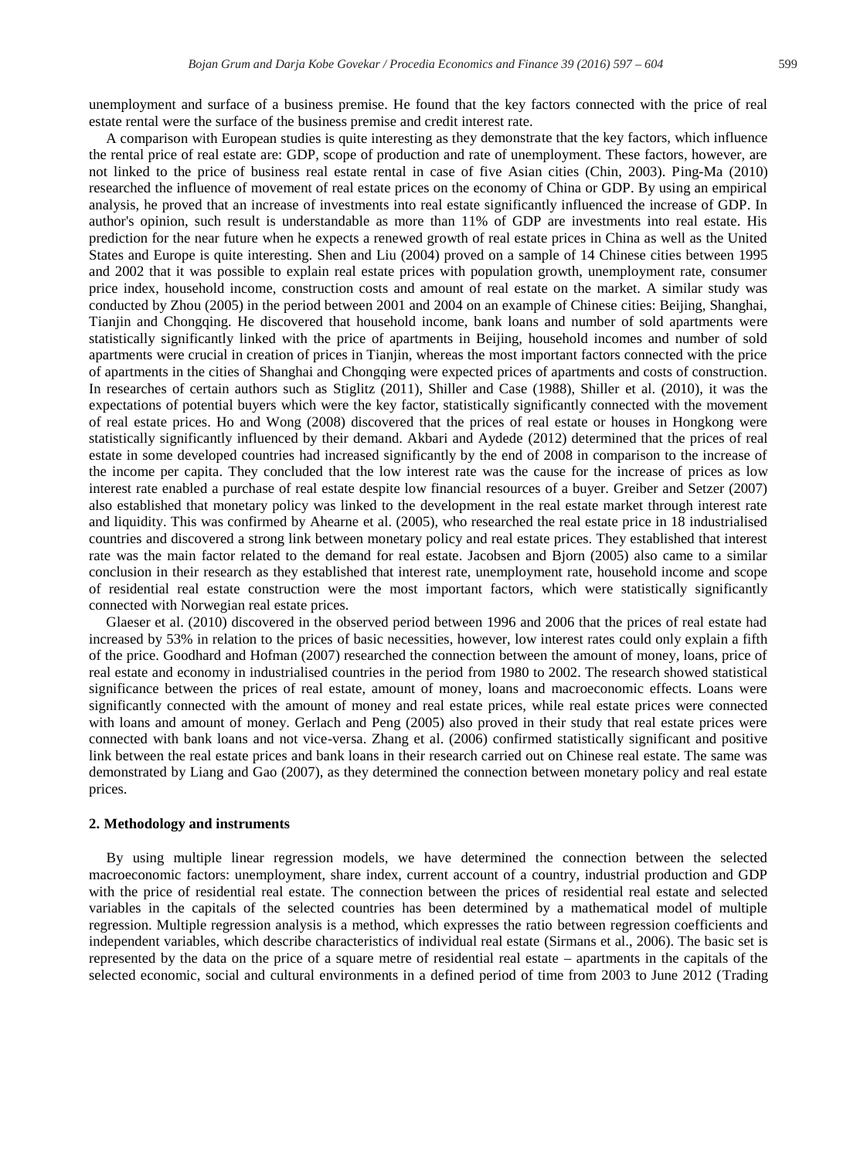unemployment and surface of a business premise. He found that the key factors connected with the price of real estate rental were the surface of the business premise and credit interest rate.

A comparison with European studies is quite interesting as they demonstrate that the key factors, which influence the rental price of real estate are: GDP, scope of production and rate of unemployment. These factors, however, are not linked to the price of business real estate rental in case of five Asian cities (Chin, 2003). Ping-Ma (2010) researched the influence of movement of real estate prices on the economy of China or GDP. By using an empirical analysis, he proved that an increase of investments into real estate significantly influenced the increase of GDP. In author's opinion, such result is understandable as more than 11% of GDP are investments into real estate. His prediction for the near future when he expects a renewed growth of real estate prices in China as well as the United States and Europe is quite interesting. Shen and Liu (2004) proved on a sample of 14 Chinese cities between 1995 and 2002 that it was possible to explain real estate prices with population growth, unemployment rate, consumer price index, household income, construction costs and amount of real estate on the market. A similar study was conducted by Zhou (2005) in the period between 2001 and 2004 on an example of Chinese cities: Beijing, Shanghai, Tianjin and Chongqing. He discovered that household income, bank loans and number of sold apartments were statistically significantly linked with the price of apartments in Beijing, household incomes and number of sold apartments were crucial in creation of prices in Tianjin, whereas the most important factors connected with the price of apartments in the cities of Shanghai and Chongqing were expected prices of apartments and costs of construction. In researches of certain authors such as Stiglitz (2011), Shiller and Case (1988), Shiller et al. (2010), it was the expectations of potential buyers which were the key factor, statistically significantly connected with the movement of real estate prices. Ho and Wong (2008) discovered that the prices of real estate or houses in Hongkong were statistically significantly influenced by their demand. Akbari and Aydede (2012) determined that the prices of real estate in some developed countries had increased significantly by the end of 2008 in comparison to the increase of the income per capita. They concluded that the low interest rate was the cause for the increase of prices as low interest rate enabled a purchase of real estate despite low financial resources of a buyer. Greiber and Setzer (2007) also established that monetary policy was linked to the development in the real estate market through interest rate and liquidity. This was confirmed by Ahearne et al. (2005), who researched the real estate price in 18 industrialised countries and discovered a strong link between monetary policy and real estate prices. They established that interest rate was the main factor related to the demand for real estate. Jacobsen and Bjorn (2005) also came to a similar conclusion in their research as they established that interest rate, unemployment rate, household income and scope of residential real estate construction were the most important factors, which were statistically significantly connected with Norwegian real estate prices.

Glaeser et al. (2010) discovered in the observed period between 1996 and 2006 that the prices of real estate had increased by 53% in relation to the prices of basic necessities, however, low interest rates could only explain a fifth of the price. Goodhard and Hofman (2007) researched the connection between the amount of money, loans, price of real estate and economy in industrialised countries in the period from 1980 to 2002. The research showed statistical significance between the prices of real estate, amount of money, loans and macroeconomic effects. Loans were significantly connected with the amount of money and real estate prices, while real estate prices were connected with loans and amount of money. Gerlach and Peng (2005) also proved in their study that real estate prices were connected with bank loans and not vice-versa. Zhang et al. (2006) confirmed statistically significant and positive link between the real estate prices and bank loans in their research carried out on Chinese real estate. The same was demonstrated by Liang and Gao (2007), as they determined the connection between monetary policy and real estate prices.

#### **2. Methodology and instruments**

By using multiple linear regression models, we have determined the connection between the selected macroeconomic factors: unemployment, share index, current account of a country, industrial production and GDP with the price of residential real estate. The connection between the prices of residential real estate and selected variables in the capitals of the selected countries has been determined by a mathematical model of multiple regression. Multiple regression analysis is a method, which expresses the ratio between regression coefficients and independent variables, which describe characteristics of individual real estate (Sirmans et al., 2006). The basic set is represented by the data on the price of a square metre of residential real estate – apartments in the capitals of the selected economic, social and cultural environments in a defined period of time from 2003 to June 2012 (Trading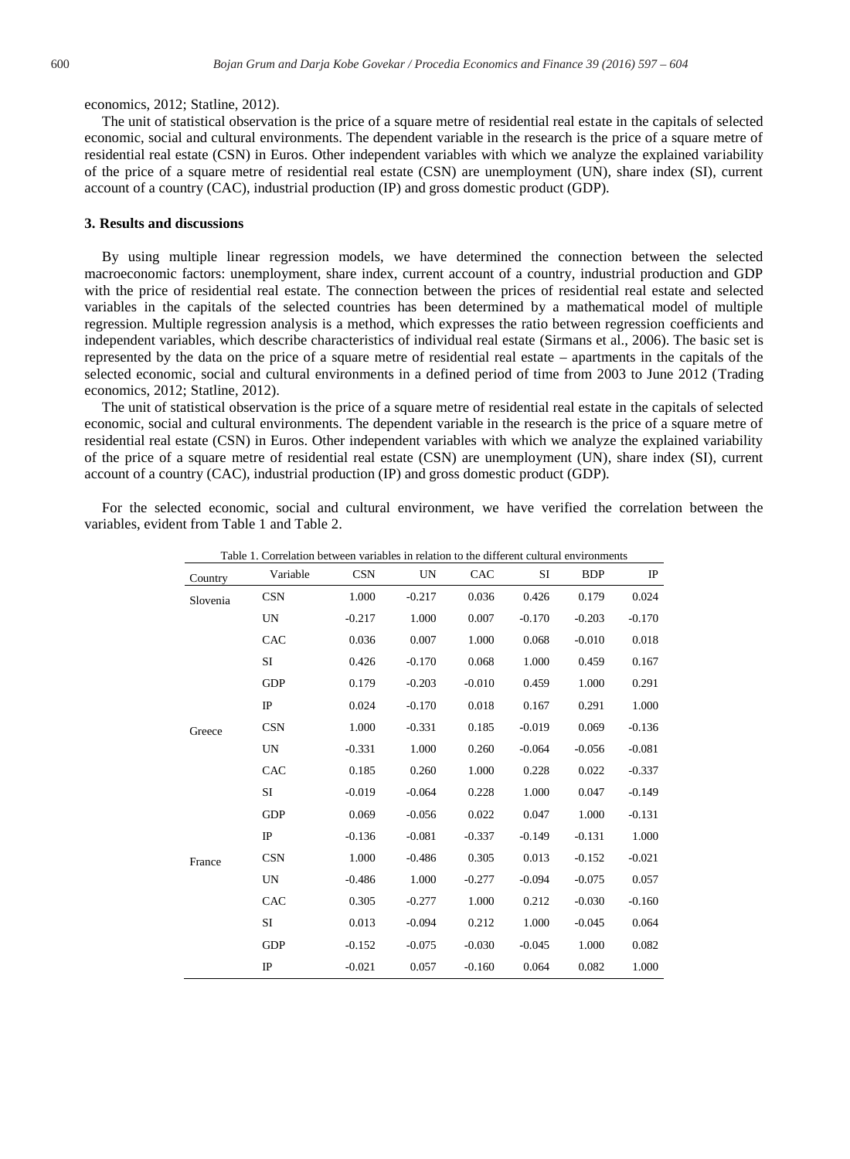#### economics, 2012; Statline, 2012).

The unit of statistical observation is the price of a square metre of residential real estate in the capitals of selected economic, social and cultural environments. The dependent variable in the research is the price of a square metre of residential real estate (CSN) in Euros. Other independent variables with which we analyze the explained variability of the price of a square metre of residential real estate (CSN) are unemployment (UN), share index (SI), current account of a country (CAC), industrial production (IP) and gross domestic product (GDP).

### **3. Results and discussions**

By using multiple linear regression models, we have determined the connection between the selected macroeconomic factors: unemployment, share index, current account of a country, industrial production and GDP with the price of residential real estate. The connection between the prices of residential real estate and selected variables in the capitals of the selected countries has been determined by a mathematical model of multiple regression. Multiple regression analysis is a method, which expresses the ratio between regression coefficients and independent variables, which describe characteristics of individual real estate (Sirmans et al., 2006). The basic set is represented by the data on the price of a square metre of residential real estate – apartments in the capitals of the selected economic, social and cultural environments in a defined period of time from 2003 to June 2012 (Trading economics, 2012; Statline, 2012).

The unit of statistical observation is the price of a square metre of residential real estate in the capitals of selected economic, social and cultural environments. The dependent variable in the research is the price of a square metre of residential real estate (CSN) in Euros. Other independent variables with which we analyze the explained variability of the price of a square metre of residential real estate (CSN) are unemployment (UN), share index (SI), current account of a country (CAC), industrial production (IP) and gross domestic product (GDP).

For the selected economic, social and cultural environment, we have verified the correlation between the variables, evident from Table 1 and Table 2.

| Country  | Variable    | <b>CSN</b> | UN       | CAC      | SI       | <b>BDP</b> | $_{\rm IP}$ |
|----------|-------------|------------|----------|----------|----------|------------|-------------|
| Slovenia | <b>CSN</b>  | 1.000      | $-0.217$ | 0.036    | 0.426    | 0.179      | 0.024       |
|          | UN          | $-0.217$   | 1.000    | 0.007    | $-0.170$ | $-0.203$   | $-0.170$    |
|          | CAC         | 0.036      | 0.007    | 1.000    | 0.068    | $-0.010$   | 0.018       |
|          | SI          | 0.426      | $-0.170$ | 0.068    | 1.000    | 0.459      | 0.167       |
|          | <b>GDP</b>  | 0.179      | $-0.203$ | $-0.010$ | 0.459    | 1.000      | 0.291       |
|          | $_{\rm IP}$ | 0.024      | $-0.170$ | 0.018    | 0.167    | 0.291      | 1.000       |
| Greece   | <b>CSN</b>  | 1.000      | $-0.331$ | 0.185    | $-0.019$ | 0.069      | $-0.136$    |
|          | UN          | $-0.331$   | 1.000    | 0.260    | $-0.064$ | $-0.056$   | $-0.081$    |
|          | CAC         | 0.185      | 0.260    | 1.000    | 0.228    | 0.022      | $-0.337$    |
|          | SI          | $-0.019$   | $-0.064$ | 0.228    | 1.000    | 0.047      | $-0.149$    |
|          | <b>GDP</b>  | 0.069      | $-0.056$ | 0.022    | 0.047    | 1.000      | $-0.131$    |
|          | $_{\rm IP}$ | $-0.136$   | $-0.081$ | $-0.337$ | $-0.149$ | $-0.131$   | 1.000       |
| France   | <b>CSN</b>  | 1.000      | $-0.486$ | 0.305    | 0.013    | $-0.152$   | $-0.021$    |
|          | <b>UN</b>   | $-0.486$   | 1.000    | $-0.277$ | $-0.094$ | $-0.075$   | 0.057       |
|          | CAC         | 0.305      | $-0.277$ | 1.000    | 0.212    | $-0.030$   | $-0.160$    |
|          | SI          | 0.013      | $-0.094$ | 0.212    | 1.000    | $-0.045$   | 0.064       |
|          | <b>GDP</b>  | $-0.152$   | $-0.075$ | $-0.030$ | $-0.045$ | 1.000      | 0.082       |
|          | $_{\rm IP}$ | $-0.021$   | 0.057    | $-0.160$ | 0.064    | 0.082      | 1.000       |

Table 1. Correlation between variables in relation to the different cultural environments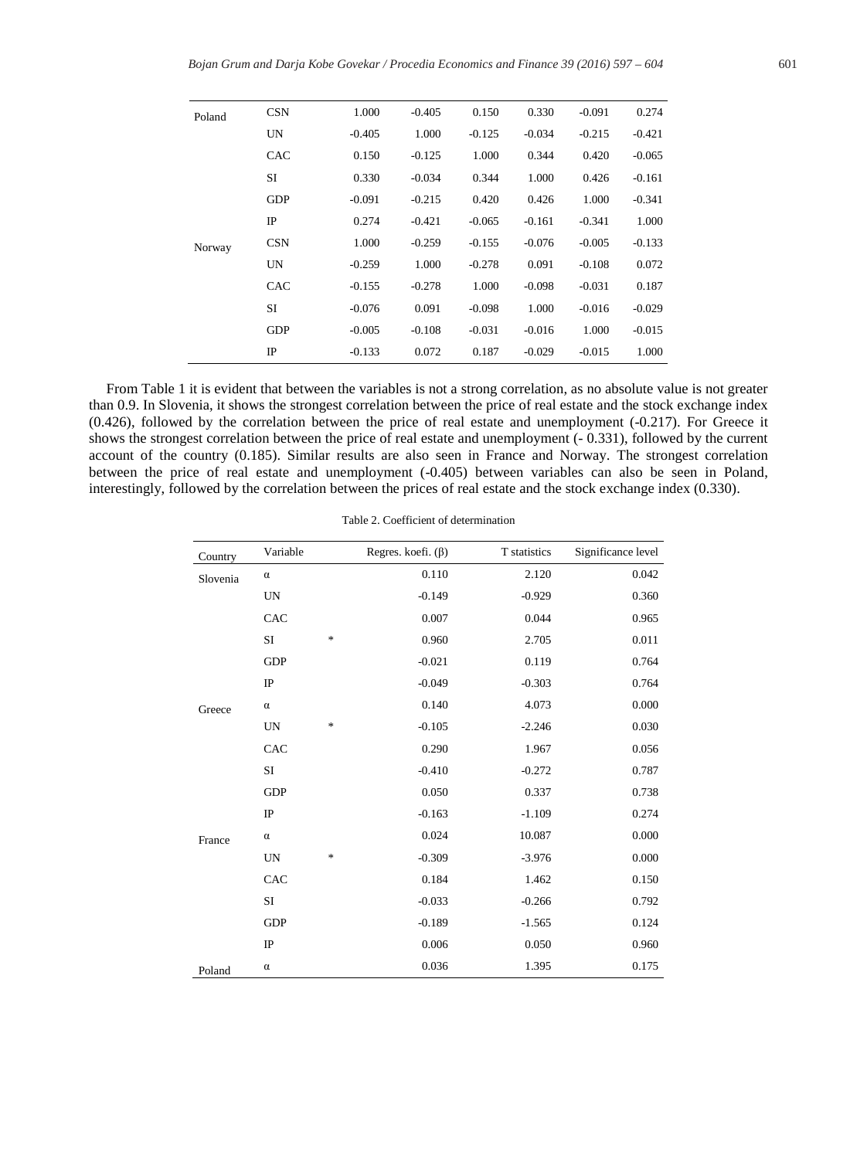| Poland<br>Norway | <b>CSN</b> | 1.000    | $-0.405$ | 0.150    | 0.330    | $-0.091$ | 0.274    |
|------------------|------------|----------|----------|----------|----------|----------|----------|
|                  | UN         | $-0.405$ | 1.000    | $-0.125$ | $-0.034$ | $-0.215$ | $-0.421$ |
|                  | CAC        | 0.150    | $-0.125$ | 1.000    | 0.344    | 0.420    | $-0.065$ |
|                  | SI         | 0.330    | $-0.034$ | 0.344    | 1.000    | 0.426    | $-0.161$ |
|                  | <b>GDP</b> | $-0.091$ | $-0.215$ | 0.420    | 0.426    | 1.000    | $-0.341$ |
|                  | IP         | 0.274    | $-0.421$ | $-0.065$ | $-0.161$ | $-0.341$ | 1.000    |
|                  | <b>CSN</b> | 1.000    | $-0.259$ | $-0.155$ | $-0.076$ | $-0.005$ | $-0.133$ |
|                  | UN         | $-0.259$ | 1.000    | $-0.278$ | 0.091    | $-0.108$ | 0.072    |
|                  | CAC        | $-0.155$ | $-0.278$ | 1.000    | $-0.098$ | $-0.031$ | 0.187    |
|                  | SI         | $-0.076$ | 0.091    | $-0.098$ | 1.000    | $-0.016$ | $-0.029$ |
|                  | <b>GDP</b> | $-0.005$ | $-0.108$ | $-0.031$ | $-0.016$ | 1.000    | $-0.015$ |
|                  | IP         | $-0.133$ | 0.072    | 0.187    | $-0.029$ | $-0.015$ | 1.000    |
|                  |            |          |          |          |          |          |          |

From Table 1 it is evident that between the variables is not a strong correlation, as no absolute value is not greater than 0.9. In Slovenia, it shows the strongest correlation between the price of real estate and the stock exchange index (0.426), followed by the correlation between the price of real estate and unemployment (-0.217). For Greece it shows the strongest correlation between the price of real estate and unemployment (- 0.331), followed by the current account of the country (0.185). Similar results are also seen in France and Norway. The strongest correlation between the price of real estate and unemployment (-0.405) between variables can also be seen in Poland, interestingly, followed by the correlation between the prices of real estate and the stock exchange index (0.330).

| Country  | Variable    |        | Regres. koefi. $(\beta)$ | T statistics | Significance level |
|----------|-------------|--------|--------------------------|--------------|--------------------|
| Slovenia | $\alpha$    |        | 0.110                    | 2.120        | 0.042              |
|          | UN          |        | $-0.149$                 | $-0.929$     | 0.360              |
|          | CAC         |        | 0.007                    | 0.044        | 0.965              |
|          | SI          | $\ast$ | 0.960                    | 2.705        | 0.011              |
|          | <b>GDP</b>  |        | $-0.021$                 | 0.119        | 0.764              |
|          | $_{\rm IP}$ |        | $-0.049$                 | $-0.303$     | 0.764              |
| Greece   | $\alpha$    |        | 0.140                    | 4.073        | 0.000              |
|          | <b>UN</b>   | $\ast$ | $-0.105$                 | $-2.246$     | 0.030              |
|          | CAC         |        | 0.290                    | 1.967        | 0.056              |
|          | SI          |        | $-0.410$                 | $-0.272$     | 0.787              |
|          | <b>GDP</b>  |        | 0.050                    | 0.337        | 0.738              |
|          | $_{\rm IP}$ |        | $-0.163$                 | $-1.109$     | 0.274              |
| France   | $\alpha$    |        | 0.024                    | 10.087       | 0.000              |
|          | <b>UN</b>   | *      | $-0.309$                 | $-3.976$     | 0.000              |
|          | CAC         |        | 0.184                    | 1.462        | 0.150              |
|          | SI          |        | $-0.033$                 | $-0.266$     | 0.792              |
|          | <b>GDP</b>  |        | $-0.189$                 | $-1.565$     | 0.124              |
|          | $_{\rm IP}$ |        | 0.006                    | 0.050        | 0.960              |
| Poland   | $\alpha$    |        | 0.036                    | 1.395        | 0.175              |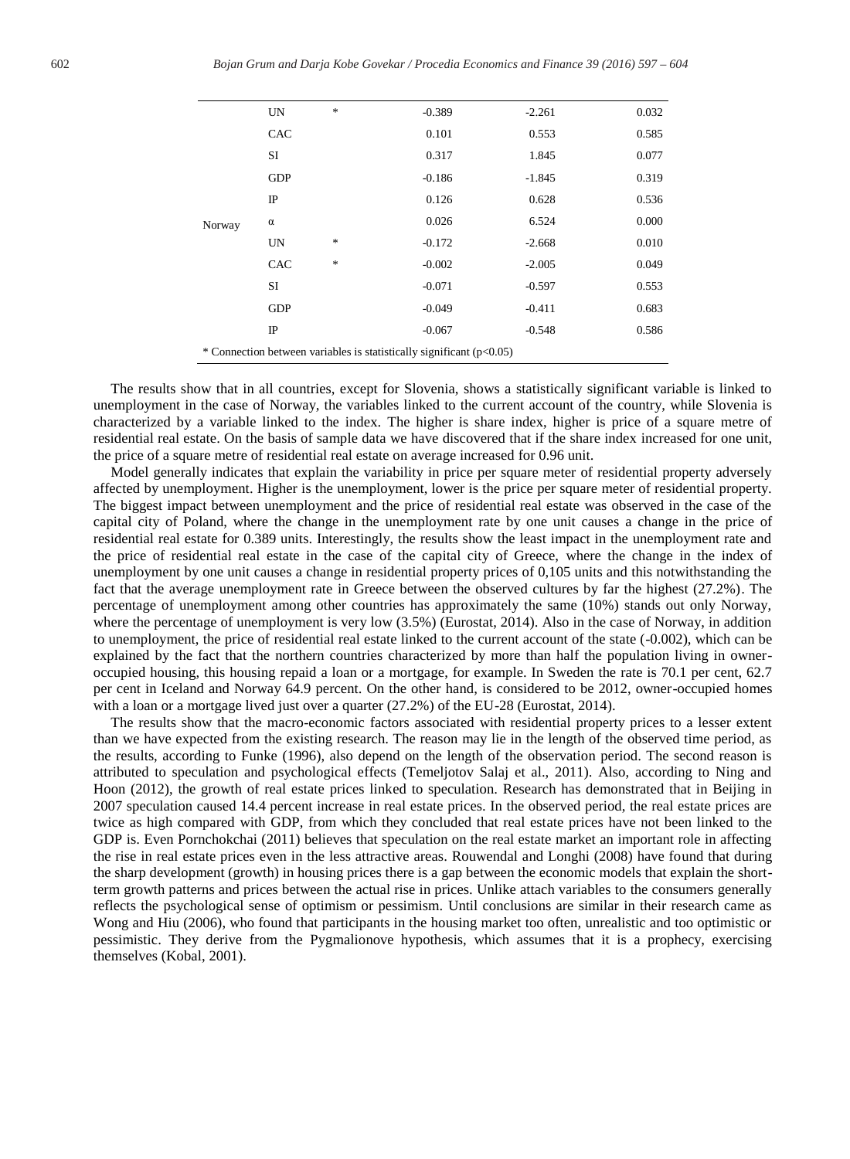| Norway                                                                 | UN          | * | $-0.389$ | $-2.261$ | 0.032 |
|------------------------------------------------------------------------|-------------|---|----------|----------|-------|
|                                                                        | CAC         |   | 0.101    | 0.553    | 0.585 |
|                                                                        | SI          |   | 0.317    | 1.845    | 0.077 |
|                                                                        | <b>GDP</b>  |   | $-0.186$ | $-1.845$ | 0.319 |
|                                                                        | $_{\rm IP}$ |   | 0.126    | 0.628    | 0.536 |
|                                                                        | $\alpha$    |   | 0.026    | 6.524    | 0.000 |
|                                                                        | <b>UN</b>   | * | $-0.172$ | $-2.668$ | 0.010 |
|                                                                        | CAC         | * | $-0.002$ | $-2.005$ | 0.049 |
|                                                                        | SI          |   | $-0.071$ | $-0.597$ | 0.553 |
|                                                                        | <b>GDP</b>  |   | $-0.049$ | $-0.411$ | 0.683 |
|                                                                        | $_{\rm IP}$ |   | $-0.067$ | $-0.548$ | 0.586 |
| * Connection between variables is statistically significant $(p<0.05)$ |             |   |          |          |       |

The results show that in all countries, except for Slovenia, shows a statistically significant variable is linked to unemployment in the case of Norway, the variables linked to the current account of the country, while Slovenia is characterized by a variable linked to the index. The higher is share index, higher is price of a square metre of residential real estate. On the basis of sample data we have discovered that if the share index increased for one unit, the price of a square metre of residential real estate on average increased for 0.96 unit.

Model generally indicates that explain the variability in price per square meter of residential property adversely affected by unemployment. Higher is the unemployment, lower is the price per square meter of residential property. The biggest impact between unemployment and the price of residential real estate was observed in the case of the capital city of Poland, where the change in the unemployment rate by one unit causes a change in the price of residential real estate for 0.389 units. Interestingly, the results show the least impact in the unemployment rate and the price of residential real estate in the case of the capital city of Greece, where the change in the index of unemployment by one unit causes a change in residential property prices of 0,105 units and this notwithstanding the fact that the average unemployment rate in Greece between the observed cultures by far the highest (27.2%). The percentage of unemployment among other countries has approximately the same (10%) stands out only Norway, where the percentage of unemployment is very low  $(3.5%)$  (Eurostat, 2014). Also in the case of Norway, in addition to unemployment, the price of residential real estate linked to the current account of the state (-0.002), which can be explained by the fact that the northern countries characterized by more than half the population living in owneroccupied housing, this housing repaid a loan or a mortgage, for example. In Sweden the rate is 70.1 per cent, 62.7 per cent in Iceland and Norway 64.9 percent. On the other hand, is considered to be 2012, owner-occupied homes with a loan or a mortgage lived just over a quarter (27.2%) of the EU-28 (Eurostat, 2014).

The results show that the macro-economic factors associated with residential property prices to a lesser extent than we have expected from the existing research. The reason may lie in the length of the observed time period, as the results, according to Funke (1996), also depend on the length of the observation period. The second reason is attributed to speculation and psychological effects (Temeljotov Salaj et al., 2011). Also, according to Ning and Hoon (2012), the growth of real estate prices linked to speculation. Research has demonstrated that in Beijing in 2007 speculation caused 14.4 percent increase in real estate prices. In the observed period, the real estate prices are twice as high compared with GDP, from which they concluded that real estate prices have not been linked to the GDP is. Even Pornchokchai (2011) believes that speculation on the real estate market an important role in affecting the rise in real estate prices even in the less attractive areas. Rouwendal and Longhi (2008) have found that during the sharp development (growth) in housing prices there is a gap between the economic models that explain the shortterm growth patterns and prices between the actual rise in prices. Unlike attach variables to the consumers generally reflects the psychological sense of optimism or pessimism. Until conclusions are similar in their research came as Wong and Hiu (2006), who found that participants in the housing market too often, unrealistic and too optimistic or pessimistic. They derive from the Pygmalionove hypothesis, which assumes that it is a prophecy, exercising themselves (Kobal, 2001).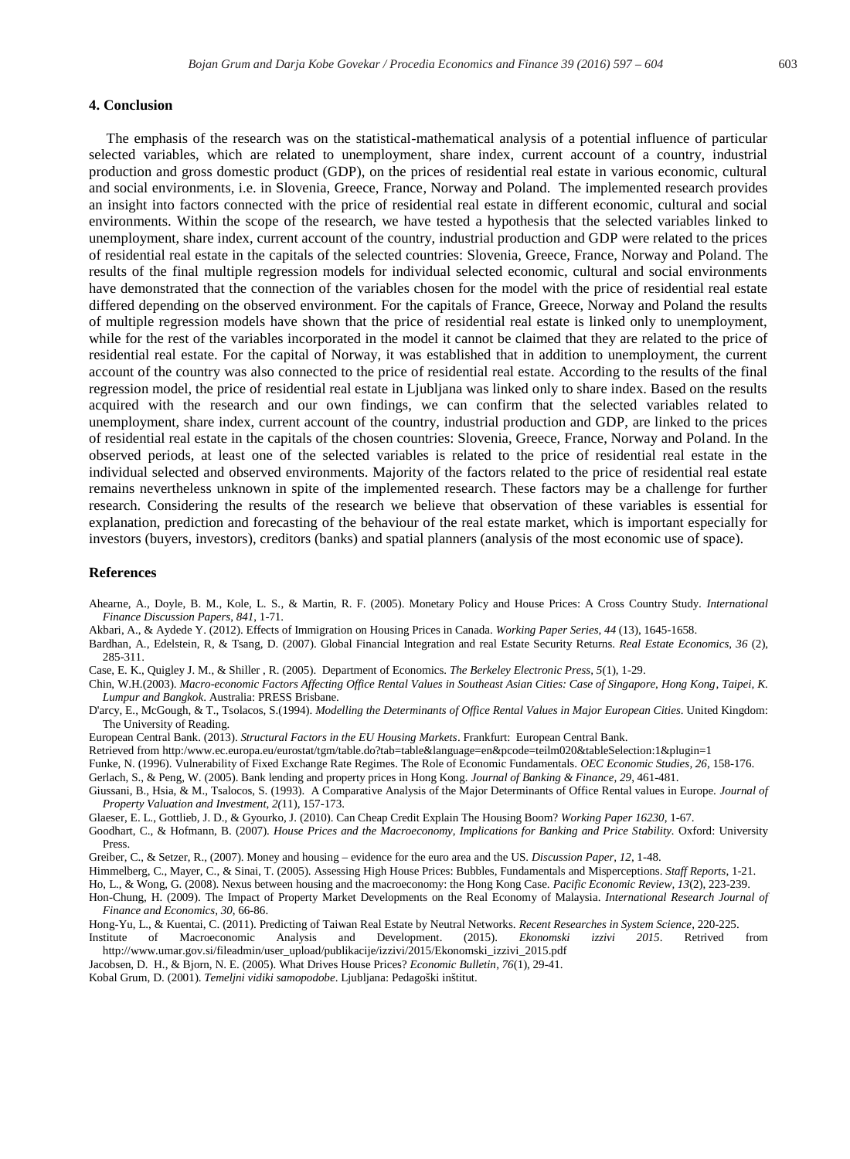#### **4. Conclusion**

The emphasis of the research was on the statistical-mathematical analysis of a potential influence of particular selected variables, which are related to unemployment, share index, current account of a country, industrial production and gross domestic product (GDP), on the prices of residential real estate in various economic, cultural and social environments, i.e. in Slovenia, Greece, France, Norway and Poland. The implemented research provides an insight into factors connected with the price of residential real estate in different economic, cultural and social environments. Within the scope of the research, we have tested a hypothesis that the selected variables linked to unemployment, share index, current account of the country, industrial production and GDP were related to the prices of residential real estate in the capitals of the selected countries: Slovenia, Greece, France, Norway and Poland. The results of the final multiple regression models for individual selected economic, cultural and social environments have demonstrated that the connection of the variables chosen for the model with the price of residential real estate differed depending on the observed environment. For the capitals of France, Greece, Norway and Poland the results of multiple regression models have shown that the price of residential real estate is linked only to unemployment, while for the rest of the variables incorporated in the model it cannot be claimed that they are related to the price of residential real estate. For the capital of Norway, it was established that in addition to unemployment, the current account of the country was also connected to the price of residential real estate. According to the results of the final regression model, the price of residential real estate in Ljubljana was linked only to share index. Based on the results acquired with the research and our own findings, we can confirm that the selected variables related to unemployment, share index, current account of the country, industrial production and GDP, are linked to the prices of residential real estate in the capitals of the chosen countries: Slovenia, Greece, France, Norway and Poland. In the observed periods, at least one of the selected variables is related to the price of residential real estate in the individual selected and observed environments. Majority of the factors related to the price of residential real estate remains nevertheless unknown in spite of the implemented research. These factors may be a challenge for further research. Considering the results of the research we believe that observation of these variables is essential for explanation, prediction and forecasting of the behaviour of the real estate market, which is important especially for investors (buyers, investors), creditors (banks) and spatial planners (analysis of the most economic use of space).

## **References**

- Ahearne, A., Doyle, B. M., Kole, L. S., & Martin, R. F. (2005). Monetary Policy and House Prices: A Cross Country Study. *International Finance Discussion Papers*, *841*, 1-71.
- Akbari, A., & Aydede Y. (2012). Effects of Immigration on Housing Prices in Canada. *Working Paper Series, 44* (13), 1645-1658.
- Bardhan, A., Edelstein, R, & Tsang, D. (2007). Global Financial Integration and real Estate Security Returns. *Real Estate Economics, 36* (2), 285-311.
- Case, E. K., Quigley J. M., & Shiller , R. (2005). Department of Economics. *The Berkeley Electronic Press, 5*(1), 1-29.
- Chin, W.H.(2003). *Macro-economic Factors Affecting Office Rental Values in Southeast Asian Cities: Case of Singapore, Hong Kong, Taipei, K. Lumpur and Bangkok*. Australia: PRESS Brisbane.
- D'arcy, E., McGough, & T., Tsolacos, S.(1994). *Modelling the Determinants of Office Rental Values in Major European Cities*. United Kingdom: The University of Reading.
- European Central Bank. (2013). *Structural Factors in the EU Housing Markets*. Frankfurt: European Central Bank.
- Retrieved from http:/www.ec.europa.eu/eurostat/tgm/table.do?tab=table&language=en&pcode=teilm020&tableSelection:1&plugin=1
- Funke, N. (1996). Vulnerability of Fixed Exchange Rate Regimes. The Role of Economic Fundamentals. *OEC Economic Studies, 26*, 158-176.
- Gerlach, S., & Peng, W. (2005). Bank lending and property prices in Hong Kong. *Journal of Banking & Finance, 29*, 461-481.
- Giussani, B., Hsia, & M., Tsalocos, S. (1993). A Comparative Analysis of the Major Determinants of Office Rental values in Europe. *Journal of Property Valuation and Investment*, *2(*11), 157-173.
- Glaeser, E. L., Gottlieb, J. D., & Gyourko, J. (2010). Can Cheap Credit Explain The Housing Boom? *Working Paper 16230*, 1-67.
- Goodhart, C., & Hofmann, B. (2007). *House Prices and the Macroeconomy, Implications for Banking and Price Stability.* Oxford: University Press.
- Greiber, C., & Setzer, R., (2007). Money and housing evidence for the euro area and the US. *Discussion Paper, 12*, 1-48.
- Himmelberg, C., Mayer, C., & Sinai, T. (2005). Assessing High House Prices: Bubbles, Fundamentals and Misperceptions. *Staff Reports,* 1-21.
- Ho, L., & Wong, G. (2008). Nexus between housing and the macroeconomy: the Hong Kong Case. *Pacific Economic Review, 13*(2), 223-239.
- Hon-Chung, H. (2009). The Impact of Property Market Developments on the Real Economy of Malaysia. *International Research Journal of Finance and Economics, 30,* 66-86.
- Hong-Yu, L., & Kuentai, C. (2011). Predicting of Taiwan Real Estate by Neutral Networks. *Recent Researches in System Science*, 220-225.
- Institute of Macroeconomic Analysis and Development. (2015). *Ekonomski izzivi 2015*. Retrived from http://www.umar.gov.si/fileadmin/user\_upload/publikacije/izzivi/2015/Ekonomski\_izzivi\_2015.pdf
- Jacobsen, D. H., & Bjorn, N. E. (2005). What Drives House Prices? *Economic Bulletin, 76*(1), 29-41.
- Kobal Grum, D. (2001). *Temeljni vidiki samopodobe*. Ljubljana: Pedagoški inštitut.